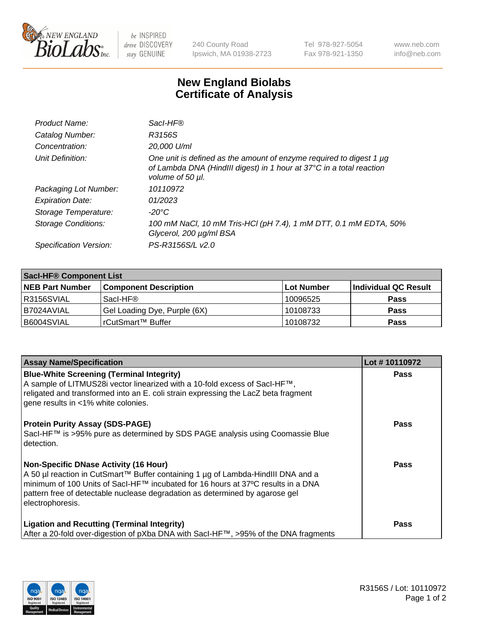

 $be$  INSPIRED drive DISCOVERY stay GENUINE

240 County Road Ipswich, MA 01938-2723 Tel 978-927-5054 Fax 978-921-1350 www.neb.com info@neb.com

## **New England Biolabs Certificate of Analysis**

| Product Name:           | Sacl-HF®                                                                                                                                                        |
|-------------------------|-----------------------------------------------------------------------------------------------------------------------------------------------------------------|
| Catalog Number:         | R3156S                                                                                                                                                          |
| Concentration:          | 20,000 U/ml                                                                                                                                                     |
| Unit Definition:        | One unit is defined as the amount of enzyme required to digest 1 µg<br>of Lambda DNA (HindIII digest) in 1 hour at 37°C in a total reaction<br>volume of 50 µl. |
| Packaging Lot Number:   | 10110972                                                                                                                                                        |
| <b>Expiration Date:</b> | 01/2023                                                                                                                                                         |
| Storage Temperature:    | $-20^{\circ}$ C                                                                                                                                                 |
| Storage Conditions:     | 100 mM NaCl, 10 mM Tris-HCl (pH 7.4), 1 mM DTT, 0.1 mM EDTA, 50%<br>Glycerol, 200 µg/ml BSA                                                                     |
| Specification Version:  | PS-R3156S/L v2.0                                                                                                                                                |

| <b>Sacl-HF® Component List</b> |                              |             |                      |  |  |
|--------------------------------|------------------------------|-------------|----------------------|--|--|
| <b>NEB Part Number</b>         | <b>Component Description</b> | ∣Lot Number | Individual QC Result |  |  |
| I R3156SVIAL                   | Sacl-HF®                     | 10096525    | <b>Pass</b>          |  |  |
| I B7024AVIAL                   | Gel Loading Dye, Purple (6X) | 10108733    | <b>Pass</b>          |  |  |
| B6004SVIAL                     | rCutSmart™ Buffer            | 10108732    | <b>Pass</b>          |  |  |

| <b>Assay Name/Specification</b>                                                                                                                                                                                                                                                                                       | Lot #10110972 |
|-----------------------------------------------------------------------------------------------------------------------------------------------------------------------------------------------------------------------------------------------------------------------------------------------------------------------|---------------|
| <b>Blue-White Screening (Terminal Integrity)</b><br>A sample of LITMUS28i vector linearized with a 10-fold excess of SacI-HF™,<br>religated and transformed into an E. coli strain expressing the LacZ beta fragment<br>gene results in <1% white colonies.                                                           | <b>Pass</b>   |
| <b>Protein Purity Assay (SDS-PAGE)</b><br>Sacl-HF™ is >95% pure as determined by SDS PAGE analysis using Coomassie Blue<br>l detection.                                                                                                                                                                               | <b>Pass</b>   |
| Non-Specific DNase Activity (16 Hour)<br>  A 50 µl reaction in CutSmart™ Buffer containing 1 µg of Lambda-HindIII DNA and a<br>  minimum of 100 Units of SacI-HF™ incubated for 16 hours at 37°C results in a DNA<br>pattern free of detectable nuclease degradation as determined by agarose gel<br>electrophoresis. | Pass          |
| <b>Ligation and Recutting (Terminal Integrity)</b><br>After a 20-fold over-digestion of pXba DNA with Sacl-HF™, >95% of the DNA fragments                                                                                                                                                                             | <b>Pass</b>   |